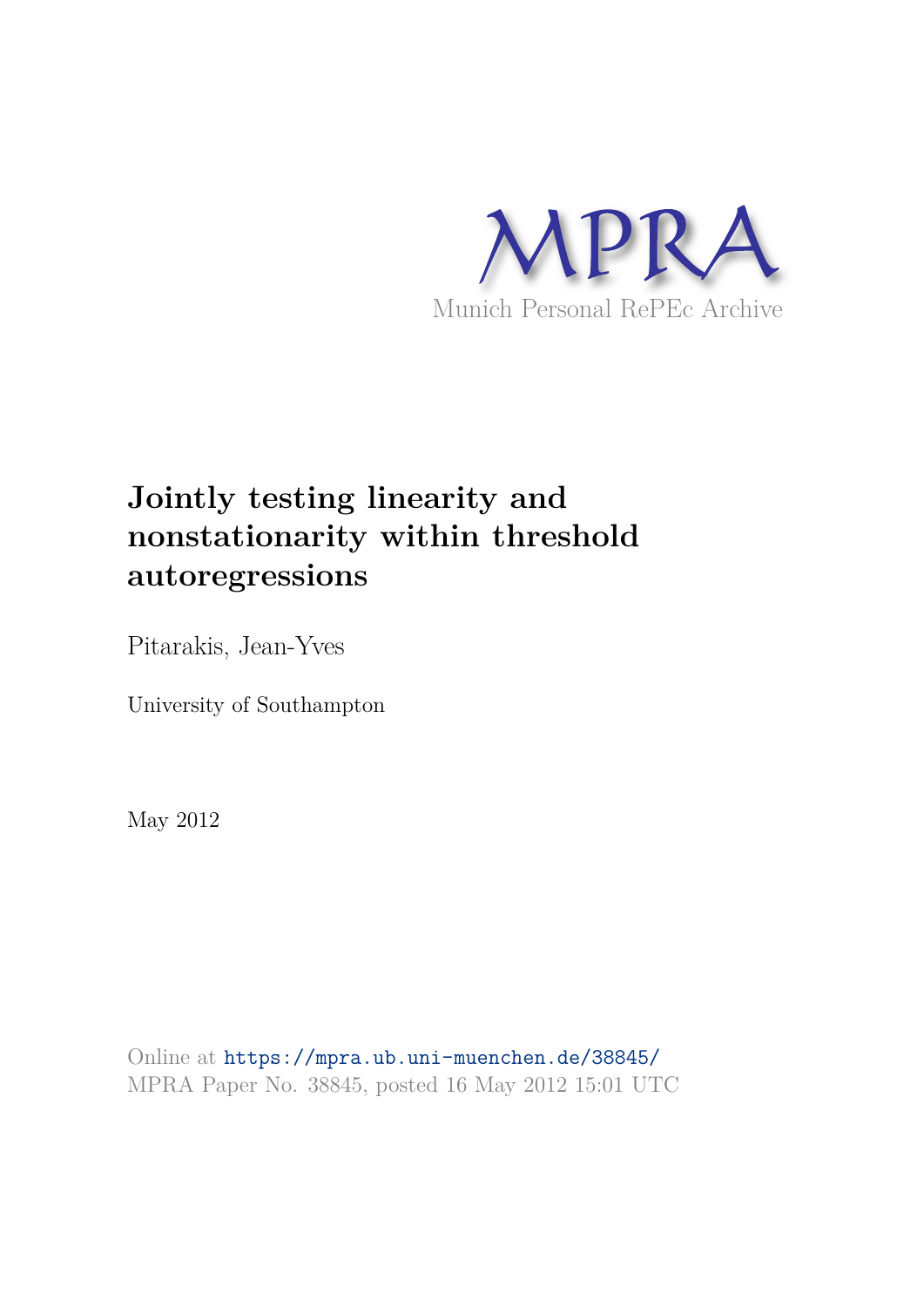

# **Jointly testing linearity and nonstationarity within threshold autoregressions**

Pitarakis, Jean-Yves

University of Southampton

May 2012

Online at https://mpra.ub.uni-muenchen.de/38845/ MPRA Paper No. 38845, posted 16 May 2012 15:01 UTC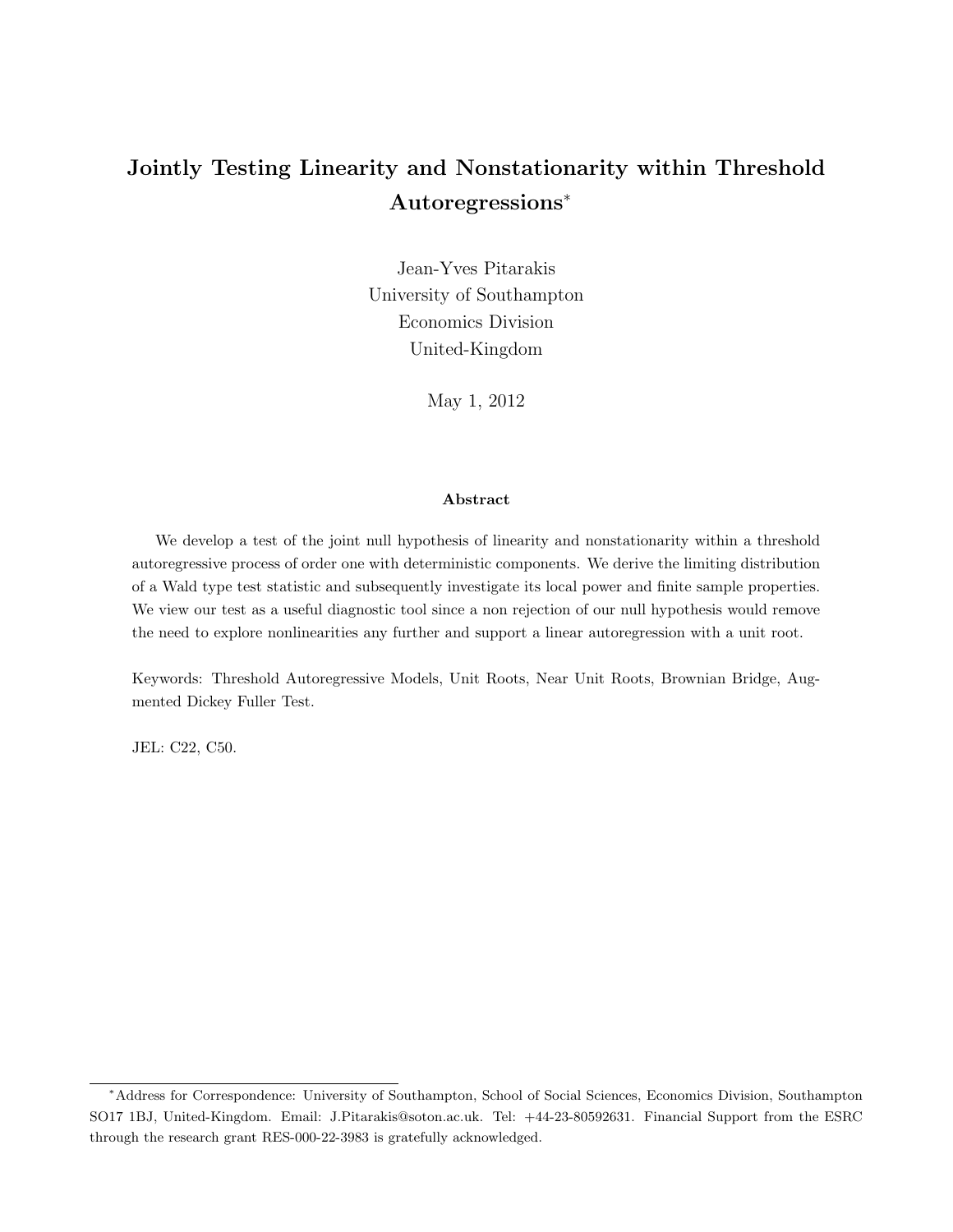## Jointly Testing Linearity and Nonstationarity within Threshold Autoregressions<sup>∗</sup>

Jean-Yves Pitarakis University of Southampton Economics Division United-Kingdom

May 1, 2012

#### Abstract

We develop a test of the joint null hypothesis of linearity and nonstationarity within a threshold autoregressive process of order one with deterministic components. We derive the limiting distribution of a Wald type test statistic and subsequently investigate its local power and finite sample properties. We view our test as a useful diagnostic tool since a non rejection of our null hypothesis would remove the need to explore nonlinearities any further and support a linear autoregression with a unit root.

Keywords: Threshold Autoregressive Models, Unit Roots, Near Unit Roots, Brownian Bridge, Augmented Dickey Fuller Test.

JEL: C22, C50.

<sup>∗</sup>Address for Correspondence: University of Southampton, School of Social Sciences, Economics Division, Southampton SO17 1BJ, United-Kingdom. Email: J.Pitarakis@soton.ac.uk. Tel: +44-23-80592631. Financial Support from the ESRC through the research grant RES-000-22-3983 is gratefully acknowledged.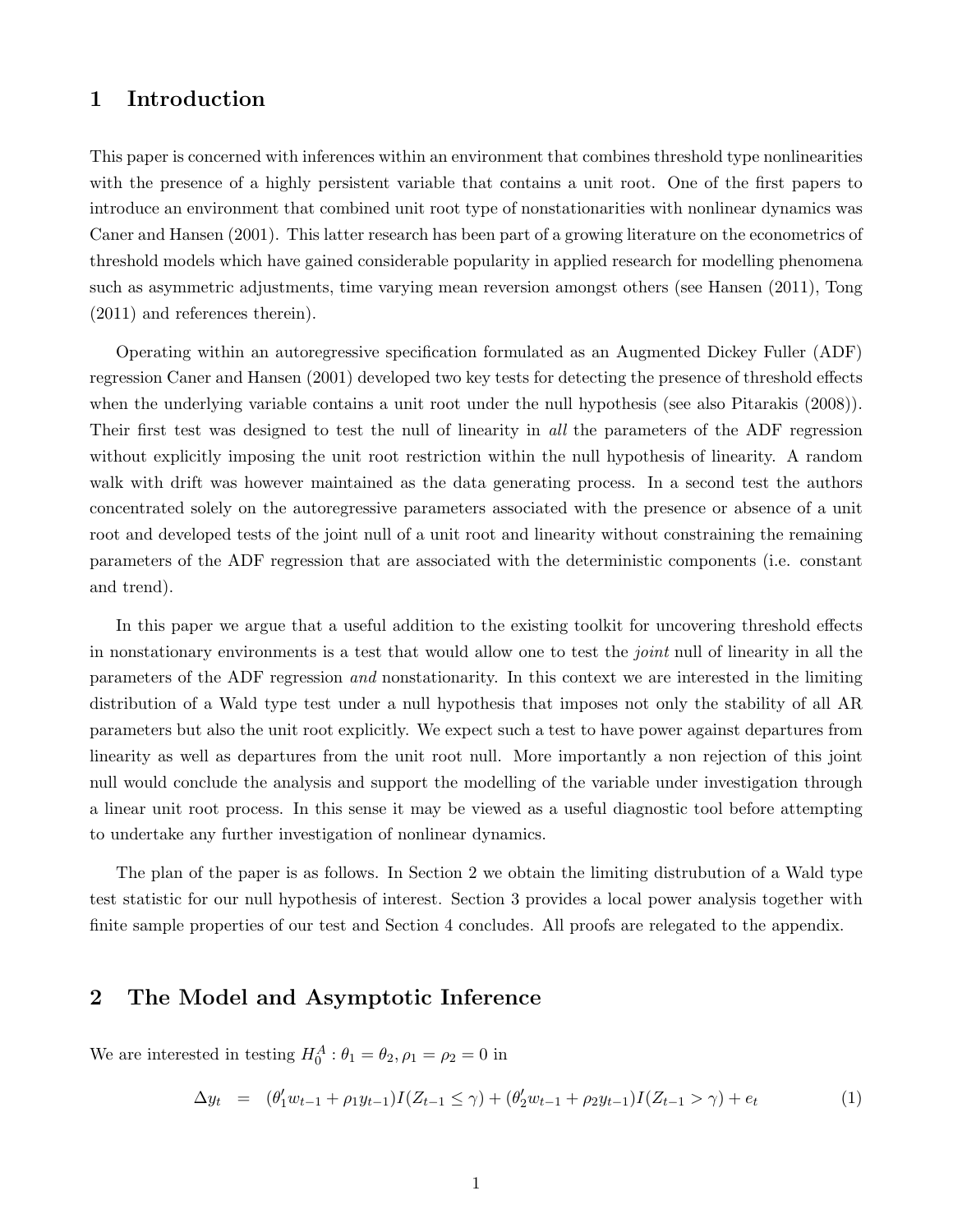## 1 Introduction

This paper is concerned with inferences within an environment that combines threshold type nonlinearities with the presence of a highly persistent variable that contains a unit root. One of the first papers to introduce an environment that combined unit root type of nonstationarities with nonlinear dynamics was Caner and Hansen (2001). This latter research has been part of a growing literature on the econometrics of threshold models which have gained considerable popularity in applied research for modelling phenomena such as asymmetric adjustments, time varying mean reversion amongst others (see Hansen (2011), Tong (2011) and references therein).

Operating within an autoregressive specification formulated as an Augmented Dickey Fuller (ADF) regression Caner and Hansen (2001) developed two key tests for detecting the presence of threshold effects when the underlying variable contains a unit root under the null hypothesis (see also Pitarakis (2008)). Their first test was designed to test the null of linearity in all the parameters of the ADF regression without explicitly imposing the unit root restriction within the null hypothesis of linearity. A random walk with drift was however maintained as the data generating process. In a second test the authors concentrated solely on the autoregressive parameters associated with the presence or absence of a unit root and developed tests of the joint null of a unit root and linearity without constraining the remaining parameters of the ADF regression that are associated with the deterministic components (i.e. constant and trend).

In this paper we argue that a useful addition to the existing toolkit for uncovering threshold effects in nonstationary environments is a test that would allow one to test the *joint* null of linearity in all the parameters of the ADF regression and nonstationarity. In this context we are interested in the limiting distribution of a Wald type test under a null hypothesis that imposes not only the stability of all AR parameters but also the unit root explicitly. We expect such a test to have power against departures from linearity as well as departures from the unit root null. More importantly a non rejection of this joint null would conclude the analysis and support the modelling of the variable under investigation through a linear unit root process. In this sense it may be viewed as a useful diagnostic tool before attempting to undertake any further investigation of nonlinear dynamics.

The plan of the paper is as follows. In Section 2 we obtain the limiting distrubution of a Wald type test statistic for our null hypothesis of interest. Section 3 provides a local power analysis together with finite sample properties of our test and Section 4 concludes. All proofs are relegated to the appendix.

## 2 The Model and Asymptotic Inference

We are interested in testing  $H_0^A: \theta_1 = \theta_2, \rho_1 = \rho_2 = 0$  in

$$
\Delta y_t = (\theta_1' w_{t-1} + \rho_1 y_{t-1}) I(Z_{t-1} \le \gamma) + (\theta_2' w_{t-1} + \rho_2 y_{t-1}) I(Z_{t-1} > \gamma) + e_t
$$
\n(1)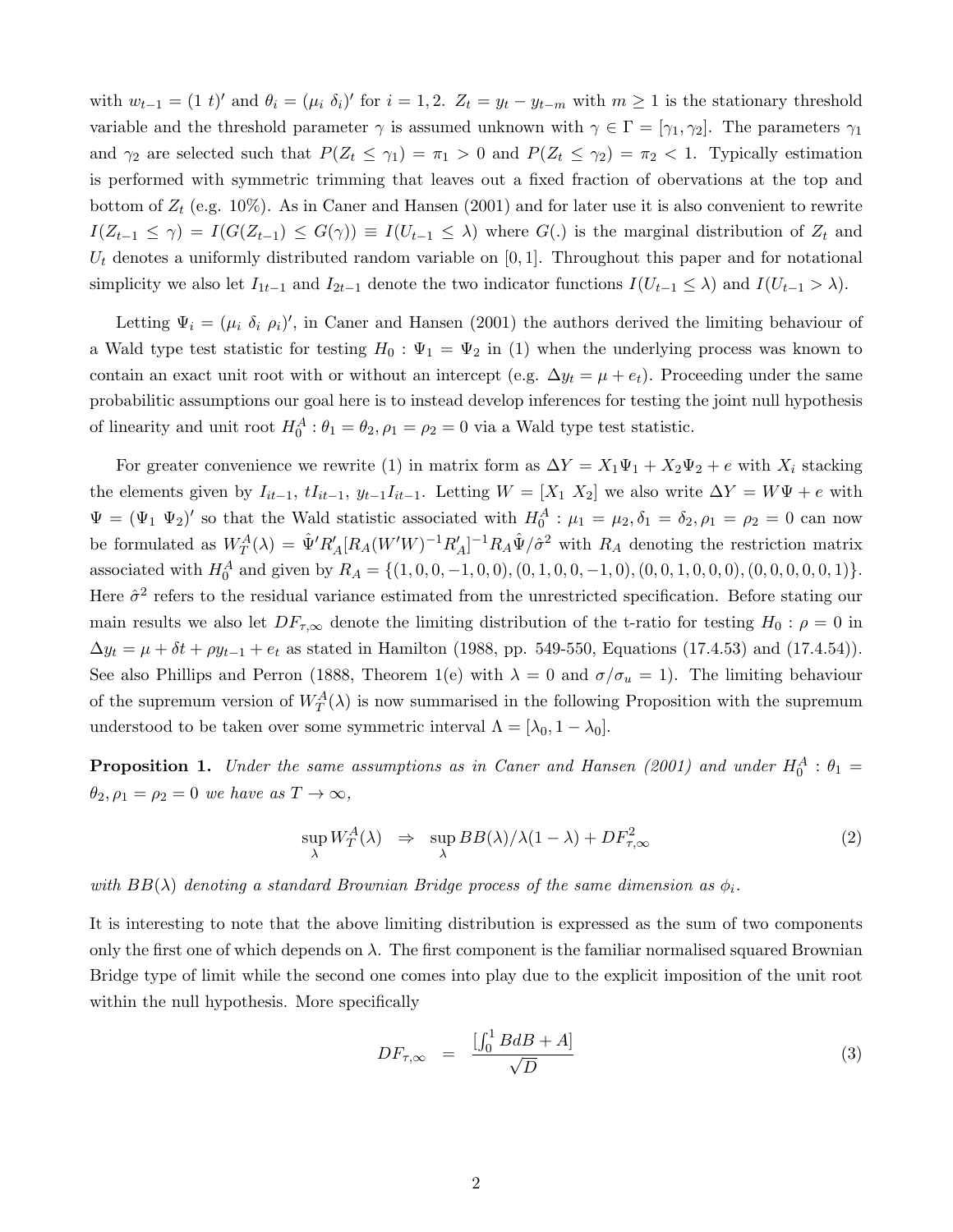with  $w_{t-1} = (1 \ t)'$  and  $\theta_i = (\mu_i \ \delta_i)'$  for  $i = 1, 2$ .  $Z_t = y_t - y_{t-m}$  with  $m \ge 1$  is the stationary threshold variable and the threshold parameter  $\gamma$  is assumed unknown with  $\gamma \in \Gamma = [\gamma_1, \gamma_2]$ . The parameters  $\gamma_1$ and  $\gamma_2$  are selected such that  $P(Z_t \leq \gamma_1) = \pi_1 > 0$  and  $P(Z_t \leq \gamma_2) = \pi_2 < 1$ . Typically estimation is performed with symmetric trimming that leaves out a fixed fraction of obervations at the top and bottom of  $Z_t$  (e.g. 10%). As in Caner and Hansen (2001) and for later use it is also convenient to rewrite  $I(Z_{t-1} \leq \gamma) = I(G(Z_{t-1}) \leq G(\gamma)) \equiv I(U_{t-1} \leq \lambda)$  where  $G(.)$  is the marginal distribution of  $Z_t$  and  $U_t$  denotes a uniformly distributed random variable on [0, 1]. Throughout this paper and for notational simplicity we also let  $I_{1t-1}$  and  $I_{2t-1}$  denote the two indicator functions  $I(U_{t-1} \leq \lambda)$  and  $I(U_{t-1} > \lambda)$ .

Letting  $\Psi_i = (\mu_i \delta_i \rho_i)'$ , in Caner and Hansen (2001) the authors derived the limiting behaviour of a Wald type test statistic for testing  $H_0: \Psi_1 = \Psi_2$  in (1) when the underlying process was known to contain an exact unit root with or without an intercept (e.g.  $\Delta y_t = \mu + e_t$ ). Proceeding under the same probabilitic assumptions our goal here is to instead develop inferences for testing the joint null hypothesis of linearity and unit root  $H_0^A: \theta_1 = \theta_2$ ,  $\rho_1 = \rho_2 = 0$  via a Wald type test statistic.

For greater convenience we rewrite (1) in matrix form as  $\Delta Y = X_1 \Psi_1 + X_2 \Psi_2 + e$  with  $X_i$  stacking the elements given by  $I_{it-1}$ ,  $tI_{it-1}$ ,  $y_{t-1}I_{it-1}$ . Letting  $W = [X_1 \ X_2]$  we also write  $\Delta Y = W\Psi + e$  with  $\Psi = (\Psi_1 \Psi_2)'$  so that the Wald statistic associated with  $H_0^A$ :  $\mu_1 = \mu_2, \delta_1 = \delta_2, \rho_1 = \rho_2 = 0$  can now be formulated as  $W_T^A(\lambda) = \hat{\Psi}' R'_A [R_A(W'W)^{-1} R'_A]^{-1} R_A \hat{\Psi}/\hat{\sigma}^2$  with  $R_A$  denoting the restriction matrix associated with  $H_0^A$  and given by  $R_A = \{(1, 0, 0, -1, 0, 0), (0, 1, 0, 0, -1, 0), (0, 0, 1, 0, 0, 0), (0, 0, 0, 0, 0, 1)\}.$ Here  $\hat{\sigma}^2$  refers to the residual variance estimated from the unrestricted specification. Before stating our main results we also let  $DF_{\tau,\infty}$  denote the limiting distribution of the t-ratio for testing  $H_0: \rho = 0$  in  $\Delta y_t = \mu + \delta t + \rho y_{t-1} + e_t$  as stated in Hamilton (1988, pp. 549-550, Equations (17.4.53) and (17.4.54)). See also Phillips and Perron (1888, Theorem 1(e) with  $\lambda = 0$  and  $\sigma/\sigma_u = 1$ ). The limiting behaviour of the supremum version of  $W_T^A(\lambda)$  is now summarised in the following Proposition with the supremum understood to be taken over some symmetric interval  $\Lambda = [\lambda_0, 1 - \lambda_0]$ .

**Proposition 1.** Under the same assumptions as in Caner and Hansen (2001) and under  $H_0^A$ :  $\theta_1$  =  $\theta_2, \rho_1 = \rho_2 = 0$  we have as  $T \to \infty$ ,

$$
\sup_{\lambda} W_T^A(\lambda) \Rightarrow \sup_{\lambda} BB(\lambda) / \lambda (1 - \lambda) + DF_{\tau, \infty}^2 \tag{2}
$$

with  $BB(\lambda)$  denoting a standard Brownian Bridge process of the same dimension as  $\phi_i$ .

It is interesting to note that the above limiting distribution is expressed as the sum of two components only the first one of which depends on  $\lambda$ . The first component is the familiar normalised squared Brownian Bridge type of limit while the second one comes into play due to the explicit imposition of the unit root within the null hypothesis. More specifically

$$
DF_{\tau,\infty} = \frac{\left[\int_0^1 B dB + A\right]}{\sqrt{D}} \tag{3}
$$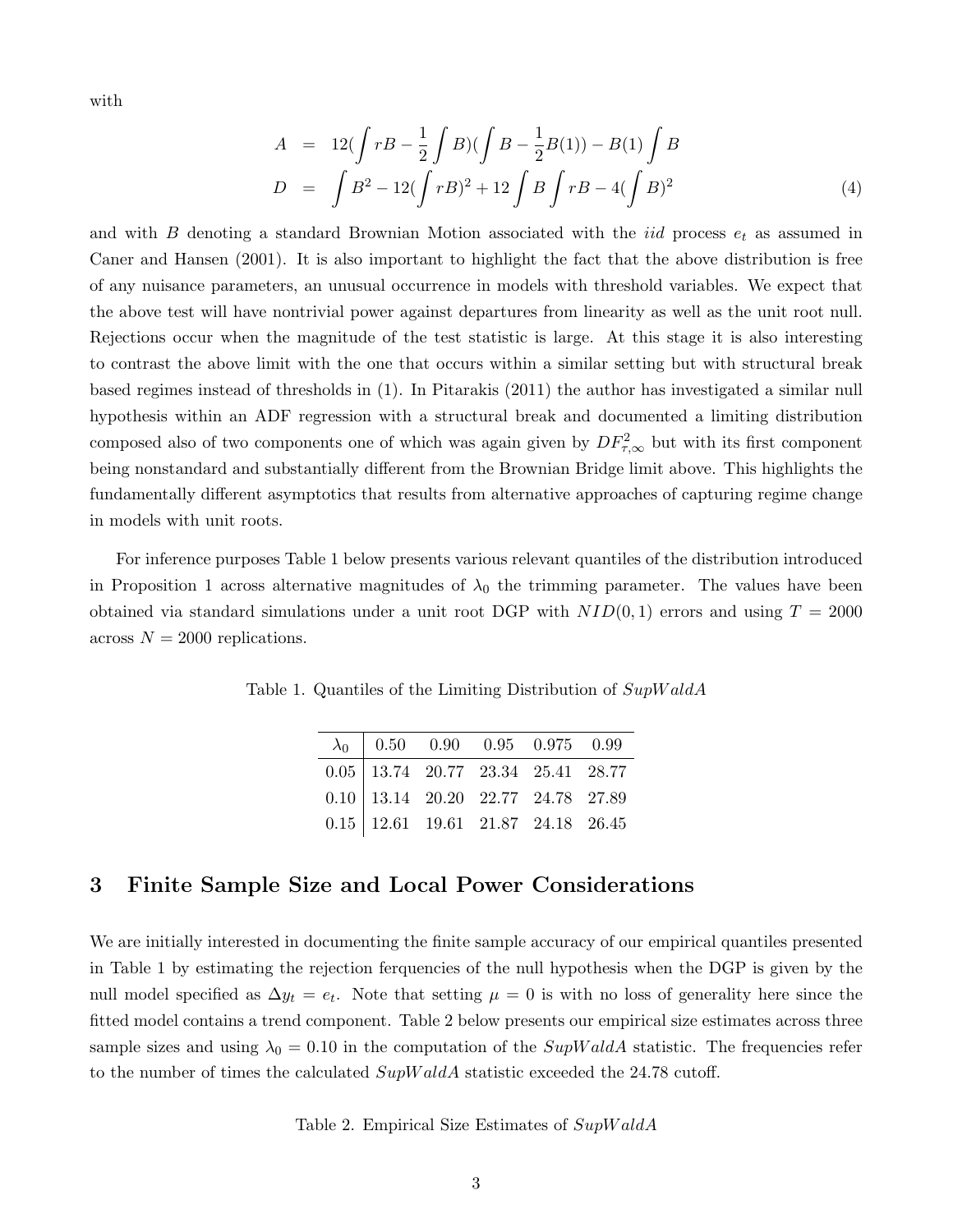with

$$
A = 12(\int rB - \frac{1}{2} \int B)(\int B - \frac{1}{2}B(1)) - B(1) \int B
$$
  

$$
D = \int B^2 - 12(\int rB)^2 + 12 \int B \int rB - 4(\int B)^2
$$
 (4)

and with B denoting a standard Brownian Motion associated with the *iid* process  $e_t$  as assumed in Caner and Hansen (2001). It is also important to highlight the fact that the above distribution is free of any nuisance parameters, an unusual occurrence in models with threshold variables. We expect that the above test will have nontrivial power against departures from linearity as well as the unit root null. Rejections occur when the magnitude of the test statistic is large. At this stage it is also interesting to contrast the above limit with the one that occurs within a similar setting but with structural break based regimes instead of thresholds in (1). In Pitarakis (2011) the author has investigated a similar null hypothesis within an ADF regression with a structural break and documented a limiting distribution composed also of two components one of which was again given by  $DF_{\tau,\infty}^2$  but with its first component being nonstandard and substantially different from the Brownian Bridge limit above. This highlights the fundamentally different asymptotics that results from alternative approaches of capturing regime change in models with unit roots.

For inference purposes Table 1 below presents various relevant quantiles of the distribution introduced in Proposition 1 across alternative magnitudes of  $\lambda_0$  the trimming parameter. The values have been obtained via standard simulations under a unit root DGP with  $NID(0, 1)$  errors and using  $T = 2000$ across  $N = 2000$  replications.

Table 1. Quantiles of the Limiting Distribution of  $SupWaldA$ 

| $\lambda_0$ 0.50 0.90 0.95 0.975 0.99                                                |  |  |
|--------------------------------------------------------------------------------------|--|--|
| $0.05\begin{array}{l cc} 13.74 & 20.77 & 23.34 & 25.41 & 28.77 \end{array}$          |  |  |
| $0.10\;\big \;13.14\quad 20.20\quad 22.77\quad 24.78\quad 27.89$                     |  |  |
| $0.15\begin{array}{l}\ 12.61\quad 19.61\quad 21.87\quad 24.18\quad 26.45\end{array}$ |  |  |

#### 3 Finite Sample Size and Local Power Considerations

We are initially interested in documenting the finite sample accuracy of our empirical quantiles presented in Table 1 by estimating the rejection ferquencies of the null hypothesis when the DGP is given by the null model specified as  $\Delta y_t = e_t$ . Note that setting  $\mu = 0$  is with no loss of generality here since the fitted model contains a trend component. Table 2 below presents our empirical size estimates across three sample sizes and using  $\lambda_0 = 0.10$  in the computation of the  $SupWaldA$  statistic. The frequencies refer to the number of times the calculated  $SupWaldA$  statistic exceeded the 24.78 cutoff.

Table 2. Empirical Size Estimates of  $SupWaldA$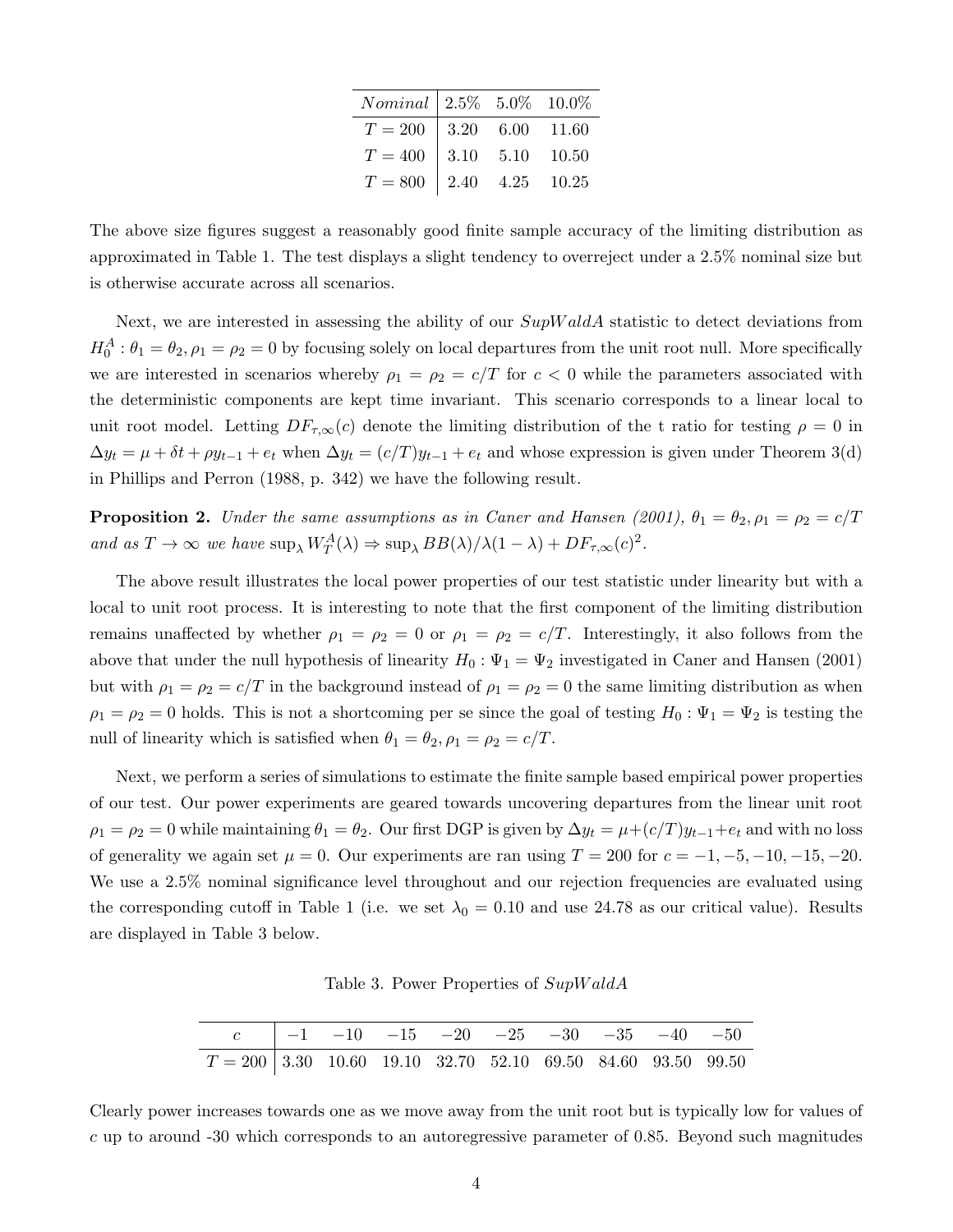| $Nominal \mid 2.5\% \quad 5.0\% \quad 10.0\%$   |  |  |
|-------------------------------------------------|--|--|
| $T = 200$   3.20 6.00 11.60                     |  |  |
| $T = 400$   3.10 5.10 10.50                     |  |  |
| $T=800\,$   $2.40\,$ $\,$ $4.25\,$ $\,$ $10.25$ |  |  |

The above size figures suggest a reasonably good finite sample accuracy of the limiting distribution as approximated in Table 1. The test displays a slight tendency to overreject under a 2.5% nominal size but is otherwise accurate across all scenarios.

Next, we are interested in assessing the ability of our  $SupWaldA$  statistic to detect deviations from  $H_0^A: \theta_1 = \theta_2, \rho_1 = \rho_2 = 0$  by focusing solely on local departures from the unit root null. More specifically we are interested in scenarios whereby  $\rho_1 = \rho_2 = c/T$  for  $c < 0$  while the parameters associated with the deterministic components are kept time invariant. This scenario corresponds to a linear local to unit root model. Letting  $DF_{\tau,\infty}(c)$  denote the limiting distribution of the t ratio for testing  $\rho = 0$  in  $\Delta y_t = \mu + \delta t + \rho y_{t-1} + e_t$  when  $\Delta y_t = (c/T)y_{t-1} + e_t$  and whose expression is given under Theorem 3(d) in Phillips and Perron (1988, p. 342) we have the following result.

**Proposition 2.** Under the same assumptions as in Caner and Hansen (2001),  $\theta_1 = \theta_2$ ,  $\rho_1 = \rho_2 = c/T$ and as  $T \to \infty$  we have  $\sup_{\lambda} W_T^A(\lambda) \Rightarrow \sup_{\lambda} BB(\lambda)/\lambda(1-\lambda) + DF_{\tau,\infty}(c)^2$ .

The above result illustrates the local power properties of our test statistic under linearity but with a local to unit root process. It is interesting to note that the first component of the limiting distribution remains unaffected by whether  $\rho_1 = \rho_2 = 0$  or  $\rho_1 = \rho_2 = c/T$ . Interestingly, it also follows from the above that under the null hypothesis of linearity  $H_0: \Psi_1 = \Psi_2$  investigated in Caner and Hansen (2001) but with  $\rho_1 = \rho_2 = c/T$  in the background instead of  $\rho_1 = \rho_2 = 0$  the same limiting distribution as when  $\rho_1 = \rho_2 = 0$  holds. This is not a shortcoming per se since the goal of testing  $H_0: \Psi_1 = \Psi_2$  is testing the null of linearity which is satisfied when  $\theta_1 = \theta_2$ ,  $\rho_1 = \rho_2 = c/T$ .

Next, we perform a series of simulations to estimate the finite sample based empirical power properties of our test. Our power experiments are geared towards uncovering departures from the linear unit root  $\rho_1 = \rho_2 = 0$  while maintaining  $\theta_1 = \theta_2$ . Our first DGP is given by  $\Delta y_t = \mu + (c/T)y_{t-1} + e_t$  and with no loss of generality we again set  $\mu = 0$ . Our experiments are ran using  $T = 200$  for  $c = -1, -5, -10, -15, -20$ . We use a 2.5% nominal significance level throughout and our rejection frequencies are evaluated using the corresponding cutoff in Table 1 (i.e. we set  $\lambda_0 = 0.10$  and use 24.78 as our critical value). Results are displayed in Table 3 below.

Table 3. Power Properties of SupW aldA

|                                                                | c   $-1$ $-10$ $-15$ $-20$ $-25$ $-30$ $-35$ $-40$ $-50$ |  |  |  |  |
|----------------------------------------------------------------|----------------------------------------------------------|--|--|--|--|
| $T = 200$ 3.30 10.60 19.10 32.70 52.10 69.50 84.60 93.50 99.50 |                                                          |  |  |  |  |

Clearly power increases towards one as we move away from the unit root but is typically low for values of c up to around -30 which corresponds to an autoregressive parameter of 0.85. Beyond such magnitudes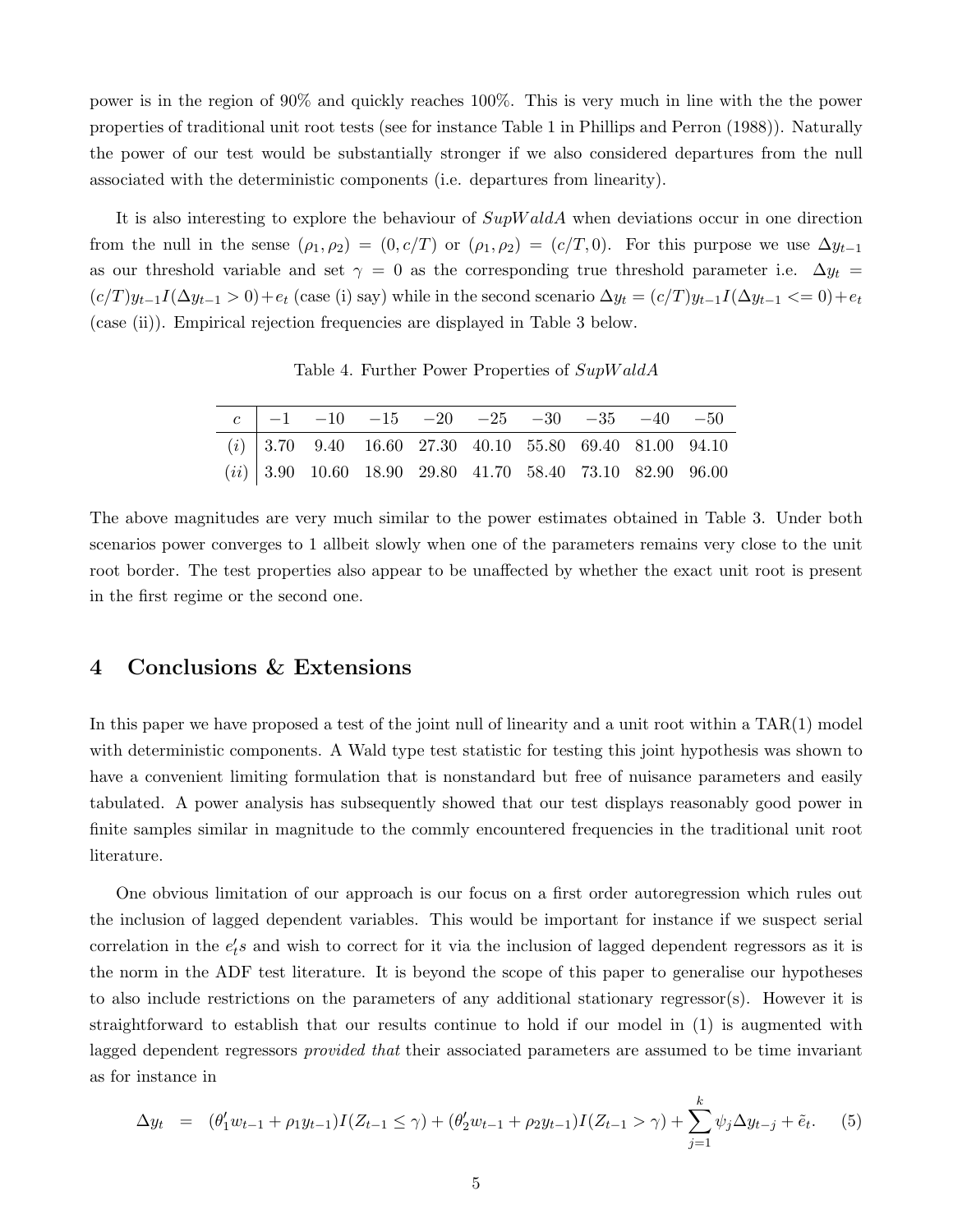power is in the region of 90% and quickly reaches 100%. This is very much in line with the the power properties of traditional unit root tests (see for instance Table 1 in Phillips and Perron (1988)). Naturally the power of our test would be substantially stronger if we also considered departures from the null associated with the deterministic components (i.e. departures from linearity).

It is also interesting to explore the behaviour of  $SupWaldA$  when deviations occur in one direction from the null in the sense  $(\rho_1, \rho_2) = (0, c/T)$  or  $(\rho_1, \rho_2) = (c/T, 0)$ . For this purpose we use  $\Delta y_{t-1}$ as our threshold variable and set  $\gamma = 0$  as the corresponding true threshold parameter i.e.  $\Delta y_t =$  $(c/T)y_{t-1}I(\Delta y_{t-1} > 0) + e_t$  (case (i) say) while in the second scenario  $\Delta y_t = (c/T)y_{t-1}I(\Delta y_{t-1} < 0) + e_t$ (case (ii)). Empirical rejection frequencies are displayed in Table 3 below.

Table 4. Further Power Properties of  $SupWaldA$ 

|  | $c \mid -1$ $-10$ $-15$ $-20$ $-25$ $-30$ $-35$ $-40$ $-50$ |  |  |  |  |
|--|-------------------------------------------------------------|--|--|--|--|
|  | $(i)$ 3.70 9.40 16.60 27.30 40.10 55.80 69.40 81.00 94.10   |  |  |  |  |
|  | $(ii)$ 3.90 10.60 18.90 29.80 41.70 58.40 73.10 82.90 96.00 |  |  |  |  |

The above magnitudes are very much similar to the power estimates obtained in Table 3. Under both scenarios power converges to 1 allbeit slowly when one of the parameters remains very close to the unit root border. The test properties also appear to be unaffected by whether the exact unit root is present in the first regime or the second one.

## 4 Conclusions & Extensions

In this paper we have proposed a test of the joint null of linearity and a unit root within a TAR(1) model with deterministic components. A Wald type test statistic for testing this joint hypothesis was shown to have a convenient limiting formulation that is nonstandard but free of nuisance parameters and easily tabulated. A power analysis has subsequently showed that our test displays reasonably good power in finite samples similar in magnitude to the commly encountered frequencies in the traditional unit root literature.

One obvious limitation of our approach is our focus on a first order autoregression which rules out the inclusion of lagged dependent variables. This would be important for instance if we suspect serial correlation in the  $e'_t s$  and wish to correct for it via the inclusion of lagged dependent regressors as it is the norm in the ADF test literature. It is beyond the scope of this paper to generalise our hypotheses to also include restrictions on the parameters of any additional stationary regressor(s). However it is straightforward to establish that our results continue to hold if our model in (1) is augmented with lagged dependent regressors *provided that* their associated parameters are assumed to be time invariant as for instance in

$$
\Delta y_t = (\theta'_1 w_{t-1} + \rho_1 y_{t-1}) I(Z_{t-1} \le \gamma) + (\theta'_2 w_{t-1} + \rho_2 y_{t-1}) I(Z_{t-1} > \gamma) + \sum_{j=1}^k \psi_j \Delta y_{t-j} + \tilde{e}_t.
$$
 (5)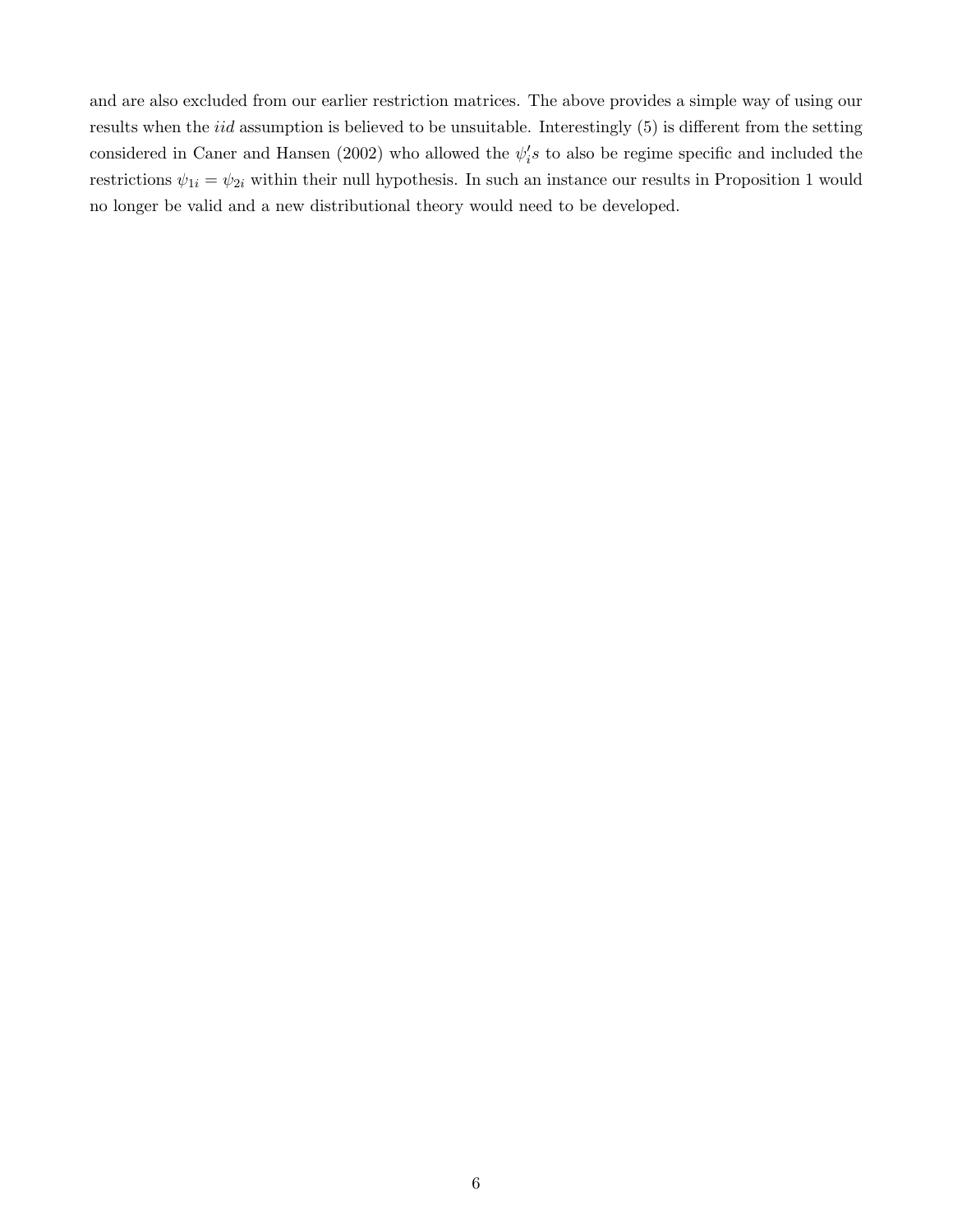and are also excluded from our earlier restriction matrices. The above provides a simple way of using our results when the iid assumption is believed to be unsuitable. Interestingly (5) is different from the setting considered in Caner and Hansen (2002) who allowed the  $\psi_i's$  to also be regime specific and included the restrictions  $\psi_{1i} = \psi_{2i}$  within their null hypothesis. In such an instance our results in Proposition 1 would no longer be valid and a new distributional theory would need to be developed.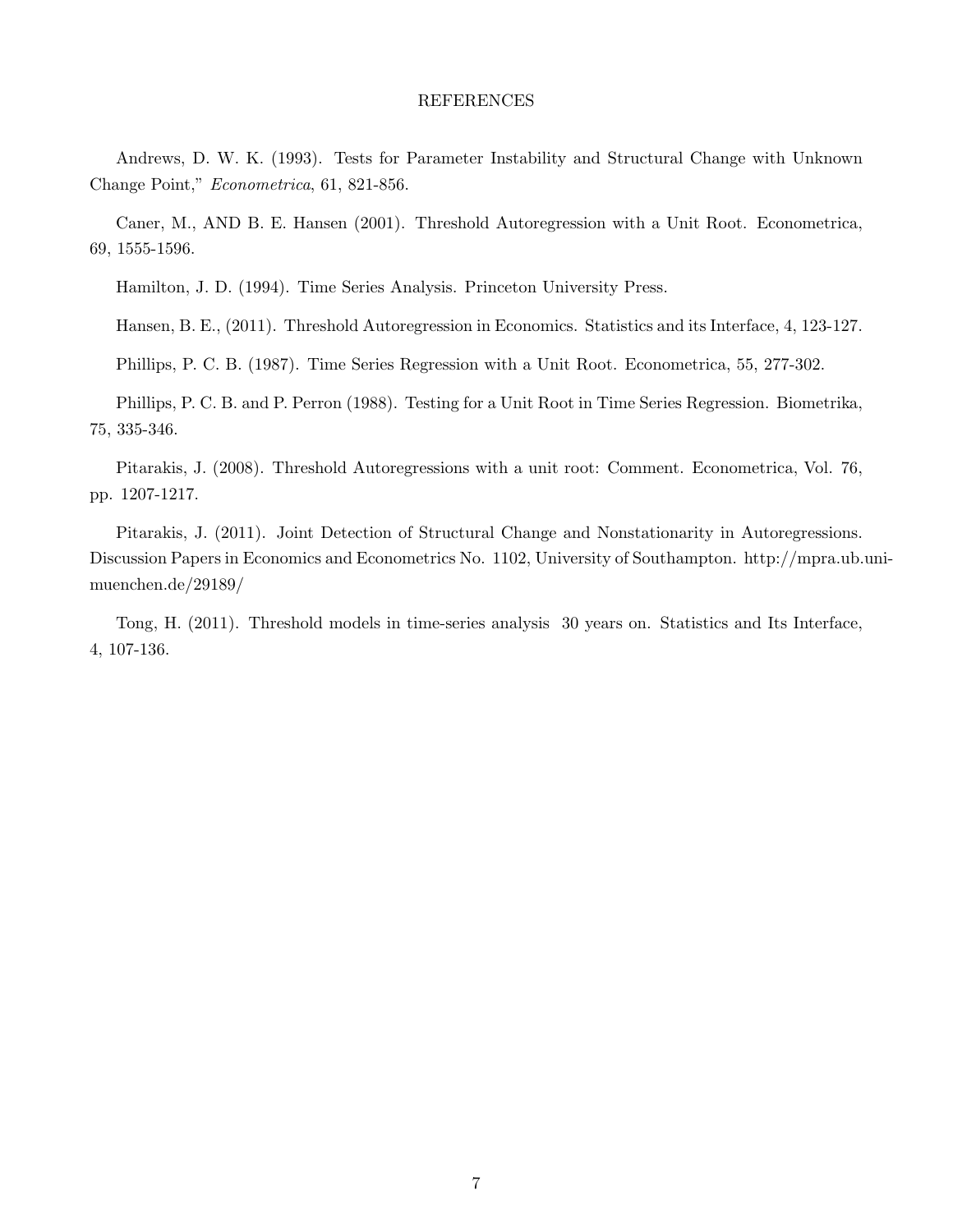#### REFERENCES

Andrews, D. W. K. (1993). Tests for Parameter Instability and Structural Change with Unknown Change Point," Econometrica, 61, 821-856.

Caner, M., AND B. E. Hansen (2001). Threshold Autoregression with a Unit Root. Econometrica, 69, 1555-1596.

Hamilton, J. D. (1994). Time Series Analysis. Princeton University Press.

Hansen, B. E., (2011). Threshold Autoregression in Economics. Statistics and its Interface, 4, 123-127.

Phillips, P. C. B. (1987). Time Series Regression with a Unit Root. Econometrica, 55, 277-302.

Phillips, P. C. B. and P. Perron (1988). Testing for a Unit Root in Time Series Regression. Biometrika, 75, 335-346.

Pitarakis, J. (2008). Threshold Autoregressions with a unit root: Comment. Econometrica, Vol. 76, pp. 1207-1217.

Pitarakis, J. (2011). Joint Detection of Structural Change and Nonstationarity in Autoregressions. Discussion Papers in Economics and Econometrics No. 1102, University of Southampton. http://mpra.ub.unimuenchen.de/29189/

Tong, H. (2011). Threshold models in time-series analysis 30 years on. Statistics and Its Interface, 4, 107-136.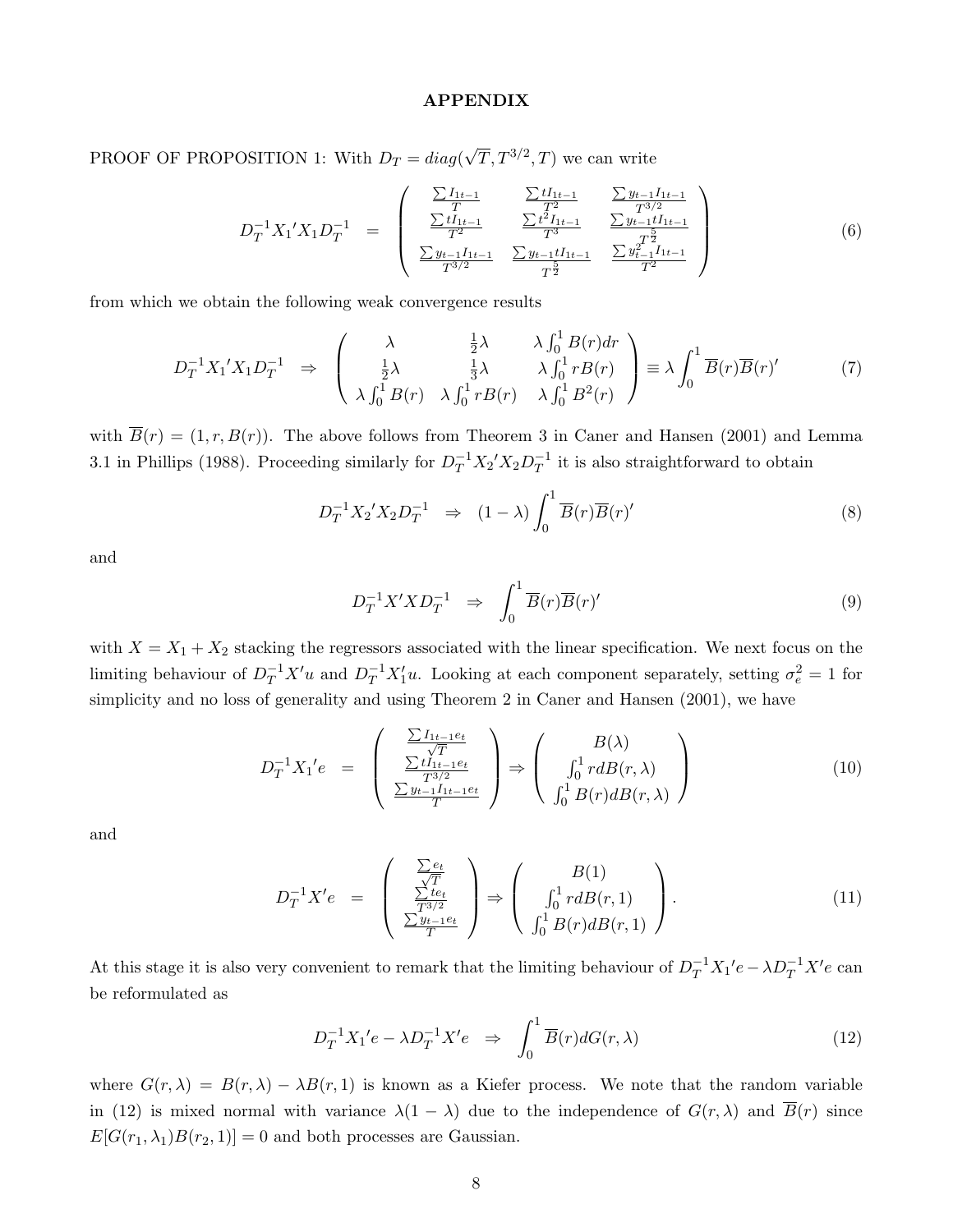#### APPENDIX

PROOF OF PROPOSITION 1: With  $D_T = diag(\sqrt{T}, T^{3/2}, T)$  we can write

$$
D_T^{-1} X_1' X_1 D_T^{-1} = \begin{pmatrix} \frac{\sum I_{1t-1}}{T} & \frac{\sum tI_{1t-1}}{T^2} & \frac{\sum y_{t-1}I_{1t-1}}{T^{3/2}}\\ \frac{\sum tI_{1t-1}}{T^2} & \frac{\sum t^2I_{1t-1}}{T^3} & \frac{\sum y_{t-1}tI_{1t-1}}{T^2} \\ \frac{\sum y_{t-1}I_{1t-1}}{T^{3/2}} & \frac{\sum y_{t-1}tI_{1t-1}}{T^2} & \frac{\sum y_{t-1}^2I_{1t-1}}{T^2} \end{pmatrix}
$$
(6)

from which we obtain the following weak convergence results

$$
D_T^{-1} X_1' X_1 D_T^{-1} \Rightarrow \begin{pmatrix} \lambda & \frac{1}{2}\lambda & \lambda \int_0^1 B(r) dr \\ \frac{1}{2}\lambda & \frac{1}{3}\lambda & \lambda \int_0^1 rB(r) \\ \lambda \int_0^1 B(r) & \lambda \int_0^1 rB(r) & \lambda \int_0^1 B^2(r) \end{pmatrix} \equiv \lambda \int_0^1 \overline{B}(r) \overline{B}(r) \tag{7}
$$

with  $\overline{B}(r) = (1, r, B(r))$ . The above follows from Theorem 3 in Caner and Hansen (2001) and Lemma 3.1 in Phillips (1988). Proceeding similarly for  $D_T^{-1}X_2'X_2D_T^{-1}$  it is also straightforward to obtain

$$
D_T^{-1} X_2' X_2 D_T^{-1} \Rightarrow (1 - \lambda) \int_0^1 \overline{B}(r) \overline{B}(r)'
$$
\n(8)

and

$$
D_T^{-1}X'XD_T^{-1} \quad \Rightarrow \quad \int_0^1 \overline{B}(r)\overline{B}(r)'
$$
\n
$$
(9)
$$

with  $X = X_1 + X_2$  stacking the regressors associated with the linear specification. We next focus on the limiting behaviour of  $D_T^{-1}X'u$  and  $D_T^{-1}X'_1u$ . Looking at each component separately, setting  $\sigma_e^2 = 1$  for simplicity and no loss of generality and using Theorem 2 in Caner and Hansen (2001), we have

$$
D_T^{-1}X_1'e = \begin{pmatrix} \frac{\sum I_{1t-1}e_t}{\sqrt{T}}\\ \frac{\sum tI_{1t-1}e_t}{T^{3/2}}\\ \frac{\sum y_{t-1}I_{1t-1}e_t}{T} \end{pmatrix} \Rightarrow \begin{pmatrix} B(\lambda)\\ \int_0^1 r dB(r,\lambda)\\ \int_0^1 B(r)dB(r,\lambda) \end{pmatrix}
$$
(10)

and

$$
D_T^{-1}X'e = \begin{pmatrix} \frac{\sum e_t}{\sqrt{T}} \\ \frac{\sum te_t}{T^{3/2}} \\ \frac{\sum y_{t-1}e_t}{T} \end{pmatrix} \Rightarrow \begin{pmatrix} B(1) \\ \int_0^1 r dB(r, 1) \\ \int_0^1 B(r) dB(r, 1) \end{pmatrix}.
$$
 (11)

At this stage it is also very convenient to remark that the limiting behaviour of  $D_T^{-1}X_1'e - \lambda D_T^{-1}X'e$  can be reformulated as

$$
D_T^{-1}X_1'e - \lambda D_T^{-1}X'e \Rightarrow \int_0^1 \overline{B}(r)dG(r,\lambda)
$$
\n(12)

where  $G(r, \lambda) = B(r, \lambda) - \lambda B(r, 1)$  is known as a Kiefer process. We note that the random variable in (12) is mixed normal with variance  $\lambda(1-\lambda)$  due to the independence of  $G(r,\lambda)$  and  $\overline{B}(r)$  since  $E[G(r_1, \lambda_1)B(r_2, 1)]=0$  and both processes are Gaussian.